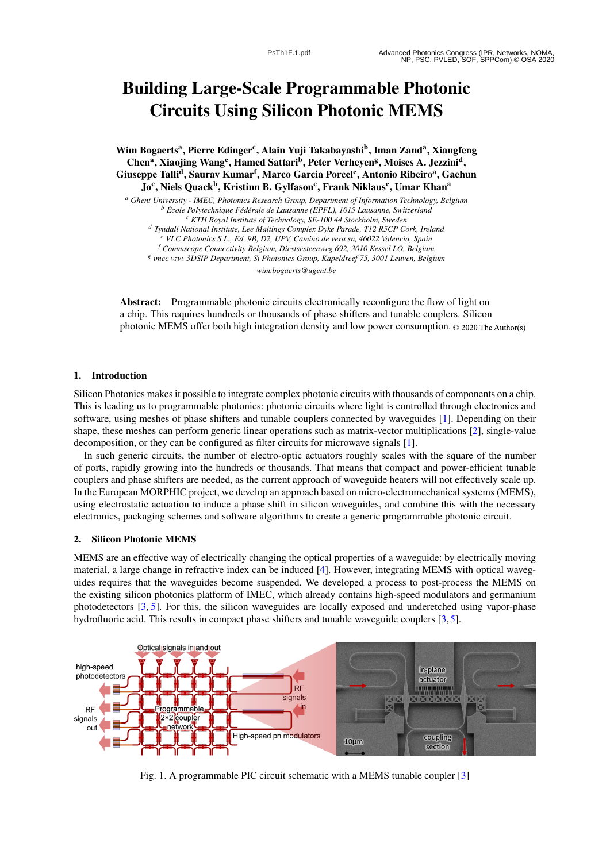# Building Large-Scale Programmable Photonic Circuits Using Silicon Photonic MEMS

Wim Bogaerts<sup>a</sup>, Pierre Edinger<sup>c</sup>, Alain Yuji Takabayashi<sup>b</sup>, Iman Zand<sup>a</sup>, Xiangfeng Chen<sup>a</sup>, Xiaojing Wang<sup>c</sup>, Hamed Sattari<sup>b</sup>, Peter Verheyen<sup>g</sup>, Moises A. Jezzini<sup>d</sup>, Giuseppe Talli<sup>d</sup>, Saurav Kumar<sup>f</sup>, Marco Garcia Porcel<sup>e</sup>, Antonio Ribeiro<sup>a</sup>, Gaehun Jo<sup>c</sup>, Niels Quack<sup>b</sup>, Kristinn B. Gylfason<sup>c</sup>, Frank Niklaus<sup>c</sup>, Umar Khan<sup>a</sup>

*<sup>a</sup> Ghent University - IMEC, Photonics Research Group, Department of Information Technology, Belgium <sup>b</sup> Ecole Polytechnique F ´ ed´ erale de Lausanne (EPFL), 1015 Lausanne, Switzerland ´ <sup>c</sup> KTH Royal Institute of Technology, SE-100 44 Stockholm, Sweden <sup>d</sup> Tyndall National Institute, Lee Maltings Complex Dyke Parade, T12 R5CP Cork, Ireland <sup>e</sup> VLC Photonics S.L., Ed. 9B, D2, UPV, Camino de vera sn, 46022 Valencia, Spain <sup>f</sup> Commscope Connectivity Belgium, Diestsesteenweg 692, 3010 Kessel LO, Belgium g imec vzw. 3DSIP Department, Si Photonics Group, Kapeldreef 75, 3001 Leuven, Belgium*

*wim.bogaerts@ugent.be*

Abstract: Programmable photonic circuits electronically reconfigure the flow of light on a chip. This requires hundreds or thousands of phase shifters and tunable couplers. Silicon photonic MEMS offer both high integration density and low power consumption.  $\odot$  2020 The Author(s)

### 1. Introduction

Silicon Photonics makes it possible to integrate complex photonic circuits with thousands of components on a chip. This is leading us to programmable photonics: photonic circuits where light is controlled through electronics and software, using meshes of phase shifters and tunable couplers connected by waveguides [ 1]. Depending on their shape, these meshes can perform generic linear operations such as matrix-vector multiplications [ 2], single-value decomposition, or they can be configured as filter circuits for microwave signals [ 1].

In such generic circuits, the number of electro-optic actuators roughly scales with the square of the number of ports, rapidly growing into the hundreds or thousands. That means that compact and power-efficient tunable couplers and phase shifters are needed, as the current approach of waveguide heaters will not effectively scale up. In the European MORPHIC project, we develop an approach based on micro-electromechanical systems (MEMS), using electrostatic actuation to induce a phase shift in silicon waveguides, and combine this with the necessary electronics, packaging schemes and software algorithms to create a generic programmable photonic circuit.

#### 2. Silicon Photonic MEMS

MEMS are an effective way of electrically changing the optical properties of a waveguide: by electrically moving material, a large change in refractive index can be induced [ 4]. However, integrating MEMS with optical waveguides requires that the waveguides become suspended. We developed a process to post-process the MEMS on the existing silicon photonics platform of IMEC, which already contains high-speed modulators and germanium photodetectors [3, 5]. For this, the silicon waveguides are locally exposed and underetched using vapor-phase hydrofluoric acid. This results in compact phase shifters and tunable waveguide couplers [3,5].



Fig. 1. A programmable PIC circuit schematic with a MEMS tunable coupler [ 3 ]